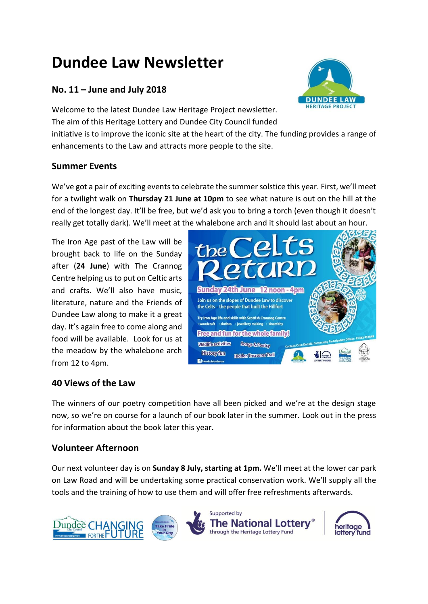# **Dundee Law Newsletter**

# **No. 11 – June and July 2018**

Welcome to the latest Dundee Law Heritage Project newsletter. The aim of this Heritage Lottery and Dundee City Council funded

initiative is to improve the iconic site at the heart of the city. The funding provides a range of enhancements to the Law and attracts more people to the site.

## **Summer Events**

We've got a pair of exciting events to celebrate the summer solstice this year. First, we'll meet for a twilight walk on **Thursday 21 June at 10pm** to see what nature is out on the hill at the end of the longest day. It'll be free, but we'd ask you to bring a torch (even though it doesn't really get totally dark). We'll meet at the whalebone arch and it should last about an hour.

The Iron Age past of the Law will be brought back to life on the Sunday after (**24 June**) with The Crannog Centre helping us to put on Celtic arts and crafts. We'll also have music, literature, nature and the Friends of Dundee Law along to make it a great day. It's again free to come along and food will be available. Look for us at the meadow by the whalebone arch from 12 to 4pm.



## **40 Views of the Law**

The winners of our poetry competition have all been picked and we're at the design stage now, so we're on course for a launch of our book later in the summer. Look out in the press for information about the book later this year.

## **Volunteer Afternoon**

Our next volunteer day is on **Sunday 8 July, starting at 1pm.** We'll meet at the lower car park on Law Road and will be undertaking some practical conservation work. We'll supply all the tools and the training of how to use them and will offer free refreshments afterwards.